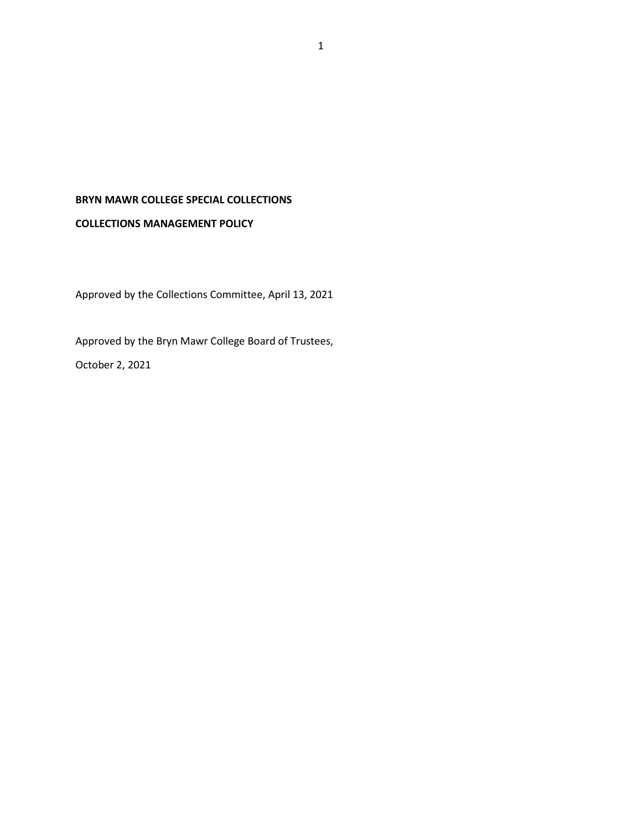# **BRYN MAWR COLLEGE SPECIAL COLLECTIONS**

#### **COLLECTIONS MANAGEMENT POLICY**

Approved by the Collections Committee, April 13, 2021

Approved by the Bryn Mawr College Board of Trustees, October 2, 2021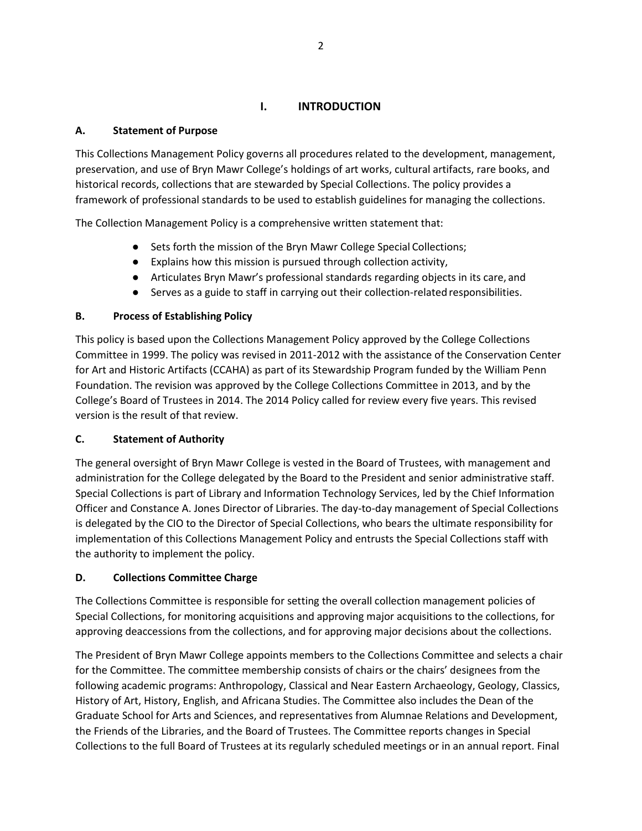# **I. INTRODUCTION**

#### **A. Statement of Purpose**

This Collections Management Policy governs all procedures related to the development, management, preservation, and use of Bryn Mawr College's holdings of art works, cultural artifacts, rare books, and historical records, collections that are stewarded by Special Collections. The policy provides a framework of professional standards to be used to establish guidelines for managing the collections.

The Collection Management Policy is a comprehensive written statement that:

- Sets forth the mission of the Bryn Mawr College Special Collections;
- Explains how this mission is pursued through collection activity,
- Articulates Bryn Mawr's professional standards regarding objects in its care, and
- Serves as a guide to staff in carrying out their collection-related responsibilities.

#### **B. Process of Establishing Policy**

This policy is based upon the Collections Management Policy approved by the College Collections Committee in 1999. The policy was revised in 2011-2012 with the assistance of the Conservation Center for Art and Historic Artifacts (CCAHA) as part of its Stewardship Program funded by the William Penn Foundation. The revision was approved by the College Collections Committee in 2013, and by the College's Board of Trustees in 2014. The 2014 Policy called for review every five years. This revised version is the result of that review.

### **C. Statement of Authority**

The general oversight of Bryn Mawr College is vested in the Board of Trustees, with management and administration for the College delegated by the Board to the President and senior administrative staff. Special Collections is part of Library and Information Technology Services, led by the Chief Information Officer and Constance A. Jones Director of Libraries. The day-to-day management of Special Collections is delegated by the CIO to the Director of Special Collections, who bears the ultimate responsibility for implementation of this Collections Management Policy and entrusts the Special Collections staff with the authority to implement the policy.

### **D. Collections Committee Charge**

The Collections Committee is responsible for setting the overall collection management policies of Special Collections, for monitoring acquisitions and approving major acquisitions to the collections, for approving deaccessions from the collections, and for approving major decisions about the collections.

The President of Bryn Mawr College appoints members to the Collections Committee and selects a chair for the Committee. The committee membership consists of chairs or the chairs' designees from the following academic programs: Anthropology, Classical and Near Eastern Archaeology, Geology, Classics, History of Art, History, English, and Africana Studies. The Committee also includes the Dean of the Graduate School for Arts and Sciences, and representatives from Alumnae Relations and Development, the Friends of the Libraries, and the Board of Trustees. The Committee reports changes in Special Collections to the full Board of Trustees at its regularly scheduled meetings or in an annual report. Final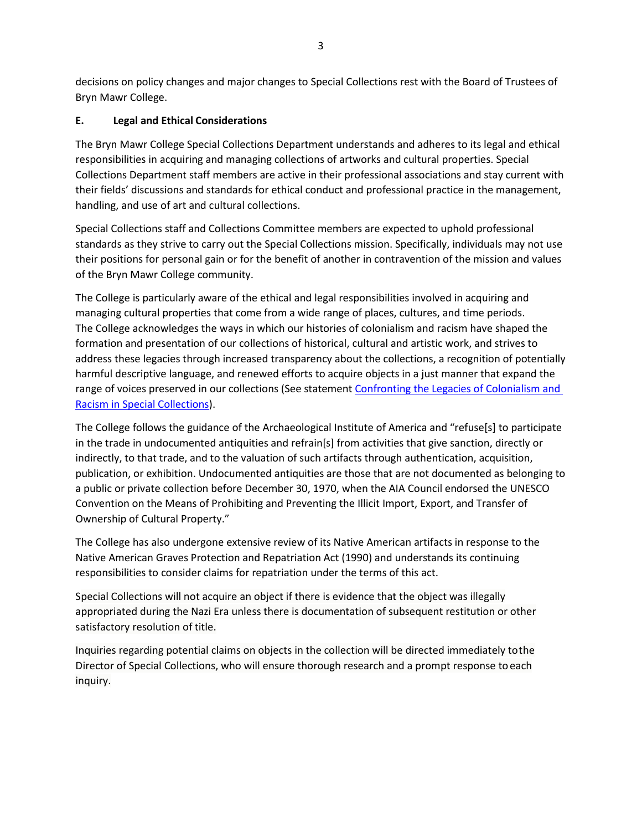decisions on policy changes and major changes to Special Collections rest with the Board of Trustees of Bryn Mawr College.

# **E. Legal and Ethical Considerations**

The Bryn Mawr College Special Collections Department understands and adheres to its legal and ethical responsibilities in acquiring and managing collections of artworks and cultural properties. Special Collections Department staff members are active in their professional associations and stay current with their fields' discussions and standards for ethical conduct and professional practice in the management, handling, and use of art and cultural collections.

Special Collections staff and Collections Committee members are expected to uphold professional standards as they strive to carry out the Special Collections mission. Specifically, individuals may not use their positions for personal gain or for the benefit of another in contravention of the mission and values of the Bryn Mawr College community.

The College is particularly aware of the ethical and legal responsibilities involved in acquiring and managing cultural properties that come from a wide range of places, cultures, and time periods. The College acknowledges the ways in which our histories of colonialism and racism have shaped the formation and presentation of our collections of historical, cultural and artistic work, and strives to address these legacies through increased transparency about the collections, a recognition of potentially harmful descriptive language, and renewed efforts to acquire objects in a just manner that expand the range of voices preserved in our collections (See statement Confronting the Legacies of Colonialism and [Racism in Special Collections\)](https://www.brynmawr.edu/lits/special-collections/collections-statement).

The College follows the guidance of the Archaeological Institute of America and "refuse[s] to participate in the trade in undocumented antiquities and refrain[s] from activities that give sanction, directly or indirectly, to that trade, and to the valuation of such artifacts through authentication, acquisition, publication, or exhibition. Undocumented antiquities are those that are not documented as belonging to a public or private collection before December 30, 1970, when the AIA Council endorsed the UNESCO Convention on the Means of Prohibiting and Preventing the Illicit Import, Export, and Transfer of Ownership of Cultural Property."

The College has also undergone extensive review of its Native American artifacts in response to the Native American Graves Protection and Repatriation Act (1990) and understands its continuing responsibilities to consider claims for repatriation under the terms of this act.

Special Collections will not acquire an object if there is evidence that the object was illegally appropriated during the Nazi Era unless there is documentation of subsequent restitution or other satisfactory resolution of title.

Inquiries regarding potential claims on objects in the collection will be directed immediately tothe Director of Special Collections, who will ensure thorough research and a prompt response toeach inquiry.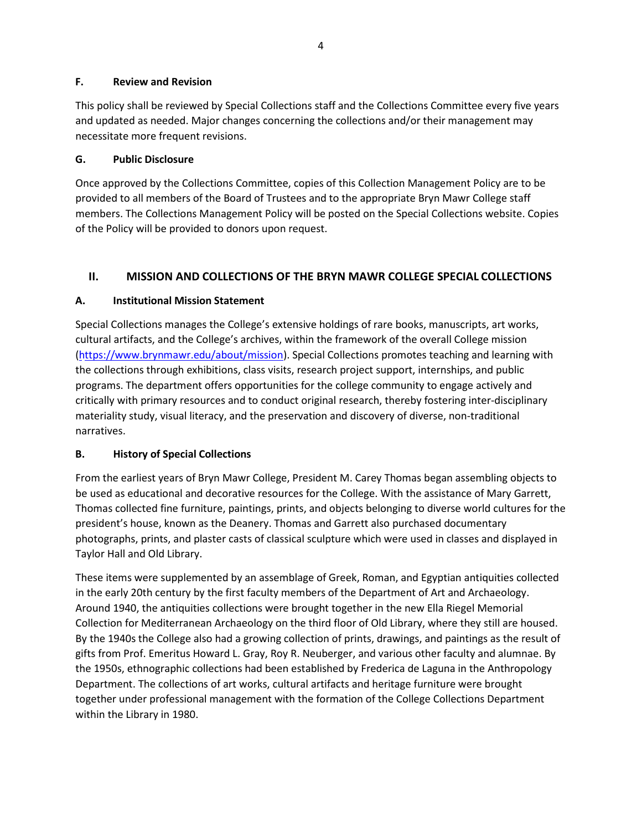#### **F. Review and Revision**

This policy shall be reviewed by Special Collections staff and the Collections Committee every five years and updated as needed. Major changes concerning the collections and/or their management may necessitate more frequent revisions.

### **G. Public Disclosure**

Once approved by the Collections Committee, copies of this Collection Management Policy are to be provided to all members of the Board of Trustees and to the appropriate Bryn Mawr College staff members. The Collections Management Policy will be posted on the Special Collections website. Copies of the Policy will be provided to donors upon request.

# **II. MISSION AND COLLECTIONS OF THE BRYN MAWR COLLEGE SPECIAL COLLECTIONS**

# **A. Institutional Mission Statement**

Special Collections manages the College's extensive holdings of rare books, manuscripts, art works, cultural artifacts, and the College's archives, within the framework of the overall College mission (https:/[/www.brynmawr.edu/about/mission\). S](http://www.brynmawr.edu/about/mission))pecial Collections promotes teaching and learning with the collections through exhibitions, class visits, research project support, internships, and public programs. The department offers opportunities for the college community to engage actively and critically with primary resources and to conduct original research, thereby fostering inter-disciplinary materiality study, visual literacy, and the preservation and discovery of diverse, non-traditional narratives.

### **B. History of Special Collections**

From the earliest years of Bryn Mawr College, President M. Carey Thomas began assembling objects to be used as educational and decorative resources for the College. With the assistance of Mary Garrett, Thomas collected fine furniture, paintings, prints, and objects belonging to diverse world cultures for the president's house, known as the Deanery. Thomas and Garrett also purchased documentary photographs, prints, and plaster casts of classical sculpture which were used in classes and displayed in Taylor Hall and Old Library.

These items were supplemented by an assemblage of Greek, Roman, and Egyptian antiquities collected in the early 20th century by the first faculty members of the Department of Art and Archaeology. Around 1940, the antiquities collections were brought together in the new Ella Riegel Memorial Collection for Mediterranean Archaeology on the third floor of Old Library, where they still are housed. By the 1940s the College also had a growing collection of prints, drawings, and paintings as the result of gifts from Prof. Emeritus Howard L. Gray, Roy R. Neuberger, and various other faculty and alumnae. By the 1950s, ethnographic collections had been established by Frederica de Laguna in the Anthropology Department. The collections of art works, cultural artifacts and heritage furniture were brought together under professional management with the formation of the College Collections Department within the Library in 1980.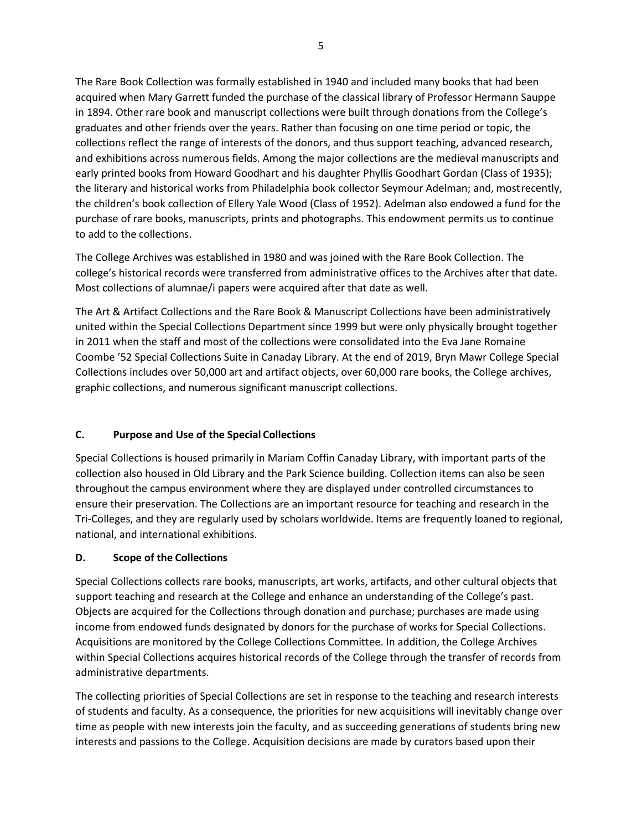The Rare Book Collection was formally established in 1940 and included many books that had been acquired when Mary Garrett funded the purchase of the classical library of Professor Hermann Sauppe in 1894. Other rare book and manuscript collections were built through donations from the College's graduates and other friends over the years. Rather than focusing on one time period or topic, the collections reflect the range of interests of the donors, and thus support teaching, advanced research, and exhibitions across numerous fields. Among the major collections are the medieval manuscripts and early printed books from Howard Goodhart and his daughter Phyllis Goodhart Gordan (Class of 1935); the literary and historical works from Philadelphia book collector Seymour Adelman; and, mostrecently, the children's book collection of Ellery Yale Wood (Class of 1952). Adelman also endowed a fund for the purchase of rare books, manuscripts, prints and photographs. This endowment permits us to continue to add to the collections.

The College Archives was established in 1980 and was joined with the Rare Book Collection. The college's historical records were transferred from administrative offices to the Archives after that date. Most collections of alumnae/i papers were acquired after that date as well.

The Art & Artifact Collections and the Rare Book & Manuscript Collections have been administratively united within the Special Collections Department since 1999 but were only physically brought together in 2011 when the staff and most of the collections were consolidated into the Eva Jane Romaine Coombe '52 Special Collections Suite in Canaday Library. At the end of 2019, Bryn Mawr College Special Collections includes over 50,000 art and artifact objects, over 60,000 rare books, the College archives, graphic collections, and numerous significant manuscript collections.

### **C. Purpose and Use of the Special Collections**

Special Collections is housed primarily in Mariam Coffin Canaday Library, with important parts of the collection also housed in Old Library and the Park Science building. Collection items can also be seen throughout the campus environment where they are displayed under controlled circumstances to ensure their preservation. The Collections are an important resource for teaching and research in the Tri-Colleges, and they are regularly used by scholars worldwide. Items are frequently loaned to regional, national, and international exhibitions.

# **D. Scope of the Collections**

Special Collections collects rare books, manuscripts, art works, artifacts, and other cultural objects that support teaching and research at the College and enhance an understanding of the College's past. Objects are acquired for the Collections through donation and purchase; purchases are made using income from endowed funds designated by donors for the purchase of works for Special Collections. Acquisitions are monitored by the College Collections Committee. In addition, the College Archives within Special Collections acquires historical records of the College through the transfer of records from administrative departments.

The collecting priorities of Special Collections are set in response to the teaching and research interests of students and faculty. As a consequence, the priorities for new acquisitions will inevitably change over time as people with new interests join the faculty, and as succeeding generations of students bring new interests and passions to the College. Acquisition decisions are made by curators based upon their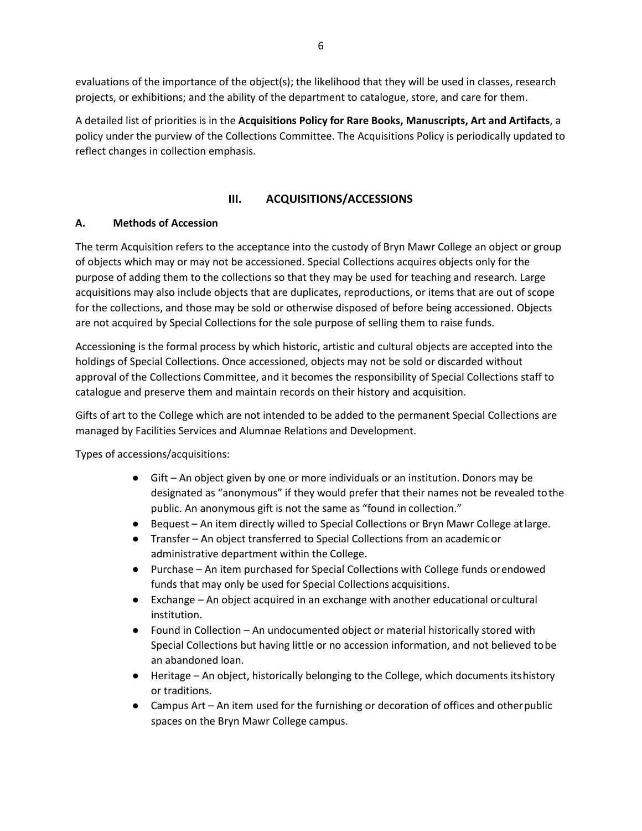evaluations of the importance of the object(s); the likelihood that they will be used in classes, research projects, or exhibitions; and the ability of the department to catalogue, store, and care for them.

A detailed list of priorities is in the **Acquisitions Policy for Rare Books, Manuscripts, Art and Artifacts**, a policy under the purview of the Collections Committee. The Acquisitions Policy is periodically updated to reflect changes in collection emphasis.

## **III. ACQUISITIONS/ACCESSIONS**

### **A. Methods of Accession**

The term Acquisition refers to the acceptance into the custody of Bryn Mawr College an object or group of objects which may or may not be accessioned. Special Collections acquires objects only for the purpose of adding them to the collections so that they may be used for teaching and research. Large acquisitions may also include objects that are duplicates, reproductions, or items that are out of scope for the collections, and those may be sold or otherwise disposed of before being accessioned. Objects are not acquired by Special Collections for the sole purpose of selling them to raise funds.

Accessioning is the formal process by which historic, artistic and cultural objects are accepted into the holdings of Special Collections. Once accessioned, objects may not be sold or discarded without approval of the Collections Committee, and it becomes the responsibility of Special Collections staff to catalogue and preserve them and maintain records on their history and acquisition.

Gifts of art to the College which are not intended to be added to the permanent Special Collections are managed by Facilities Services and Alumnae Relations and Development.

Types of accessions/acquisitions:

- Gift An object given by one or more individuals or an institution. Donors may be designated as "anonymous" if they would prefer that their names not be revealed tothe public. An anonymous gift is not the same as "found in collection."
- Bequest An item directly willed to Special Collections or Bryn Mawr College atlarge.
- Transfer An object transferred to Special Collections from an academicor administrative department within the College.
- Purchase An item purchased for Special Collections with College funds orendowed funds that may only be used for Special Collections acquisitions.
- Exchange An object acquired in an exchange with another educational orcultural institution.
- Found in Collection An undocumented object or material historically stored with Special Collections but having little or no accession information, and not believed tobe an abandoned loan.
- Heritage An object, historically belonging to the College, which documents its history or traditions.
- Campus Art An item used for the furnishing or decoration of offices and other public spaces on the Bryn Mawr College campus.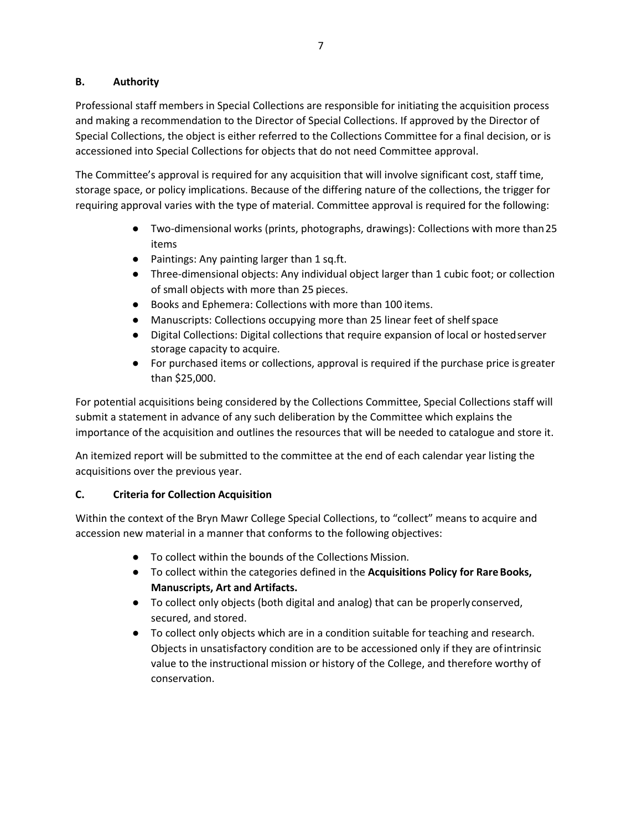### **B. Authority**

Professional staff members in Special Collections are responsible for initiating the acquisition process and making a recommendation to the Director of Special Collections. If approved by the Director of Special Collections, the object is either referred to the Collections Committee for a final decision, or is accessioned into Special Collections for objects that do not need Committee approval.

The Committee's approval is required for any acquisition that will involve significant cost, staff time, storage space, or policy implications. Because of the differing nature of the collections, the trigger for requiring approval varies with the type of material. Committee approval is required for the following:

- Two-dimensional works (prints, photographs, drawings): Collections with more than25 items
- Paintings: Any painting larger than 1 sq.ft.
- Three-dimensional objects: Any individual object larger than 1 cubic foot; or collection of small objects with more than 25 pieces.
- Books and Ephemera: Collections with more than 100 items.
- Manuscripts: Collections occupying more than 25 linear feet of shelfspace
- Digital Collections: Digital collections that require expansion of local or hostedserver storage capacity to acquire.
- For purchased items or collections, approval is required if the purchase price is greater than \$25,000.

For potential acquisitions being considered by the Collections Committee, Special Collections staff will submit a statement in advance of any such deliberation by the Committee which explains the importance of the acquisition and outlines the resources that will be needed to catalogue and store it.

An itemized report will be submitted to the committee at the end of each calendar year listing the acquisitions over the previous year.

### **C. Criteria for Collection Acquisition**

Within the context of the Bryn Mawr College Special Collections, to "collect" means to acquire and accession new material in a manner that conforms to the following objectives:

- To collect within the bounds of the Collections Mission.
- To collect within the categories defined in the **Acquisitions Policy for RareBooks, Manuscripts, Art and Artifacts.**
- To collect only objects (both digital and analog) that can be properly conserved, secured, and stored.
- To collect only objects which are in a condition suitable for teaching and research. Objects in unsatisfactory condition are to be accessioned only if they are ofintrinsic value to the instructional mission or history of the College, and therefore worthy of conservation.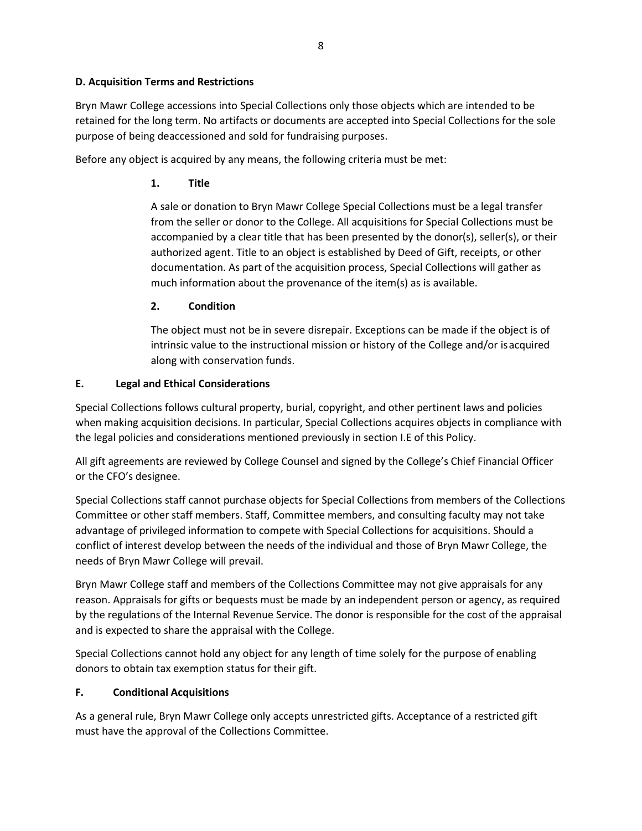#### **D. Acquisition Terms and Restrictions**

Bryn Mawr College accessions into Special Collections only those objects which are intended to be retained for the long term. No artifacts or documents are accepted into Special Collections for the sole purpose of being deaccessioned and sold for fundraising purposes.

Before any object is acquired by any means, the following criteria must be met:

### **1. Title**

A sale or donation to Bryn Mawr College Special Collections must be a legal transfer from the seller or donor to the College. All acquisitions for Special Collections must be accompanied by a clear title that has been presented by the donor(s), seller(s), or their authorized agent. Title to an object is established by Deed of Gift, receipts, or other documentation. As part of the acquisition process, Special Collections will gather as much information about the provenance of the item(s) as is available.

### **2. Condition**

The object must not be in severe disrepair. Exceptions can be made if the object is of intrinsic value to the instructional mission or history of the College and/or isacquired along with conservation funds.

### **E. Legal and Ethical Considerations**

Special Collections follows cultural property, burial, copyright, and other pertinent laws and policies when making acquisition decisions. In particular, Special Collections acquires objects in compliance with the legal policies and considerations mentioned previously in section I.E of this Policy.

All gift agreements are reviewed by College Counsel and signed by the College's Chief Financial Officer or the CFO's designee.

Special Collections staff cannot purchase objects for Special Collections from members of the Collections Committee or other staff members. Staff, Committee members, and consulting faculty may not take advantage of privileged information to compete with Special Collections for acquisitions. Should a conflict of interest develop between the needs of the individual and those of Bryn Mawr College, the needs of Bryn Mawr College will prevail.

Bryn Mawr College staff and members of the Collections Committee may not give appraisals for any reason. Appraisals for gifts or bequests must be made by an independent person or agency, as required by the regulations of the Internal Revenue Service. The donor is responsible for the cost of the appraisal and is expected to share the appraisal with the College.

Special Collections cannot hold any object for any length of time solely for the purpose of enabling donors to obtain tax exemption status for their gift.

### **F. Conditional Acquisitions**

As a general rule, Bryn Mawr College only accepts unrestricted gifts. Acceptance of a restricted gift must have the approval of the Collections Committee.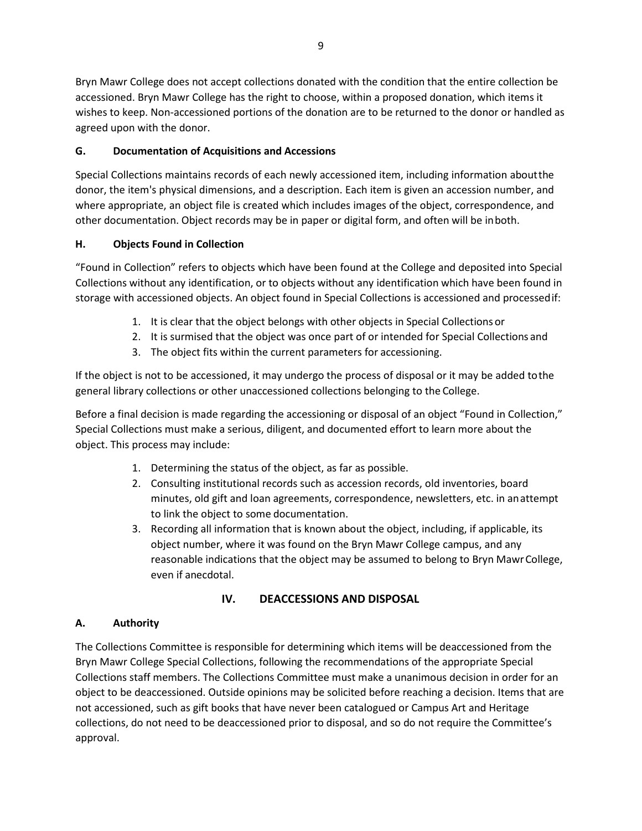Bryn Mawr College does not accept collections donated with the condition that the entire collection be accessioned. Bryn Mawr College has the right to choose, within a proposed donation, which items it wishes to keep. Non-accessioned portions of the donation are to be returned to the donor or handled as agreed upon with the donor.

# **G. Documentation of Acquisitions and Accessions**

Special Collections maintains records of each newly accessioned item, including information aboutthe donor, the item's physical dimensions, and a description. Each item is given an accession number, and where appropriate, an object file is created which includes images of the object, correspondence, and other documentation. Object records may be in paper or digital form, and often will be inboth.

# **H. Objects Found in Collection**

"Found in Collection" refers to objects which have been found at the College and deposited into Special Collections without any identification, or to objects without any identification which have been found in storage with accessioned objects. An object found in Special Collections is accessioned and processedif:

- 1. It is clear that the object belongs with other objects in Special Collections or
- 2. It is surmised that the object was once part of or intended for Special Collections and
- 3. The object fits within the current parameters for accessioning.

If the object is not to be accessioned, it may undergo the process of disposal or it may be added tothe general library collections or other unaccessioned collections belonging to the College.

Before a final decision is made regarding the accessioning or disposal of an object "Found in Collection," Special Collections must make a serious, diligent, and documented effort to learn more about the object. This process may include:

- 1. Determining the status of the object, as far as possible.
- 2. Consulting institutional records such as accession records, old inventories, board minutes, old gift and loan agreements, correspondence, newsletters, etc. in anattempt to link the object to some documentation.
- 3. Recording all information that is known about the object, including, if applicable, its object number, where it was found on the Bryn Mawr College campus, and any reasonable indications that the object may be assumed to belong to Bryn MawrCollege, even if anecdotal.

# **IV. DEACCESSIONS AND DISPOSAL**

# **A. Authority**

The Collections Committee is responsible for determining which items will be deaccessioned from the Bryn Mawr College Special Collections, following the recommendations of the appropriate Special Collections staff members. The Collections Committee must make a unanimous decision in order for an object to be deaccessioned. Outside opinions may be solicited before reaching a decision. Items that are not accessioned, such as gift books that have never been catalogued or Campus Art and Heritage collections, do not need to be deaccessioned prior to disposal, and so do not require the Committee's approval.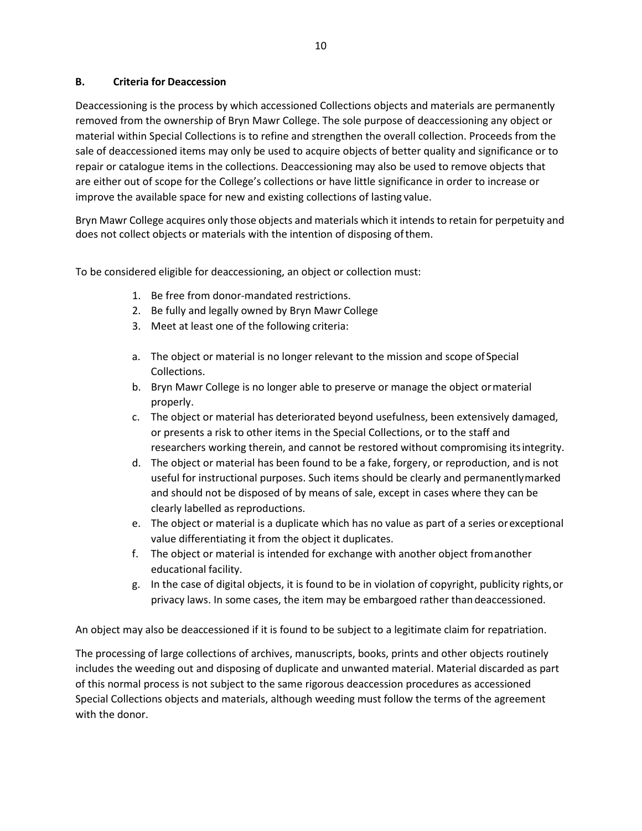#### **B. Criteria for Deaccession**

Deaccessioning is the process by which accessioned Collections objects and materials are permanently removed from the ownership of Bryn Mawr College. The sole purpose of deaccessioning any object or material within Special Collections is to refine and strengthen the overall collection. Proceeds from the sale of deaccessioned items may only be used to acquire objects of better quality and significance or to repair or catalogue items in the collections. Deaccessioning may also be used to remove objects that are either out of scope for the College's collections or have little significance in order to increase or improve the available space for new and existing collections of lasting value.

Bryn Mawr College acquires only those objects and materials which it intends to retain for perpetuity and does not collect objects or materials with the intention of disposing ofthem.

To be considered eligible for deaccessioning, an object or collection must:

- 1. Be free from donor-mandated restrictions.
- 2. Be fully and legally owned by Bryn Mawr College
- 3. Meet at least one of the following criteria:
- a. The object or material is no longer relevant to the mission and scope ofSpecial Collections.
- b. Bryn Mawr College is no longer able to preserve or manage the object ormaterial properly.
- c. The object or material has deteriorated beyond usefulness, been extensively damaged, or presents a risk to other items in the Special Collections, or to the staff and researchers working therein, and cannot be restored without compromising itsintegrity.
- d. The object or material has been found to be a fake, forgery, or reproduction, and is not useful for instructional purposes. Such items should be clearly and permanentlymarked and should not be disposed of by means of sale, except in cases where they can be clearly labelled as reproductions.
- e. The object or material is a duplicate which has no value as part of a series orexceptional value differentiating it from the object it duplicates.
- f. The object or material is intended for exchange with another object fromanother educational facility.
- g. In the case of digital objects, it is found to be in violation of copyright, publicity rights,or privacy laws. In some cases, the item may be embargoed rather thandeaccessioned.

An object may also be deaccessioned if it is found to be subject to a legitimate claim for repatriation.

The processing of large collections of archives, manuscripts, books, prints and other objects routinely includes the weeding out and disposing of duplicate and unwanted material. Material discarded as part of this normal process is not subject to the same rigorous deaccession procedures as accessioned Special Collections objects and materials, although weeding must follow the terms of the agreement with the donor.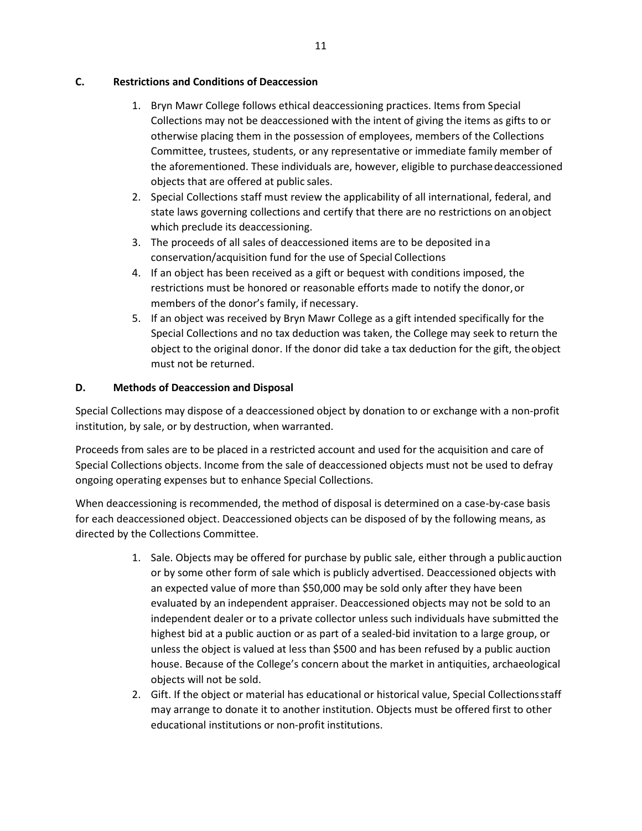#### **C. Restrictions and Conditions of Deaccession**

- 1. Bryn Mawr College follows ethical deaccessioning practices. Items from Special Collections may not be deaccessioned with the intent of giving the items as gifts to or otherwise placing them in the possession of employees, members of the Collections Committee, trustees, students, or any representative or immediate family member of the aforementioned. These individuals are, however, eligible to purchasedeaccessioned objects that are offered at public sales.
- 2. Special Collections staff must review the applicability of all international, federal, and state laws governing collections and certify that there are no restrictions on anobject which preclude its deaccessioning.
- 3. The proceeds of all sales of deaccessioned items are to be deposited ina conservation/acquisition fund for the use of Special Collections
- 4. If an object has been received as a gift or bequest with conditions imposed, the restrictions must be honored or reasonable efforts made to notify the donor, or members of the donor's family, if necessary.
- 5. If an object was received by Bryn Mawr College as a gift intended specifically for the Special Collections and no tax deduction was taken, the College may seek to return the object to the original donor. If the donor did take a tax deduction for the gift, theobject must not be returned.

### **D. Methods of Deaccession and Disposal**

Special Collections may dispose of a deaccessioned object by donation to or exchange with a non-profit institution, by sale, or by destruction, when warranted.

Proceeds from sales are to be placed in a restricted account and used for the acquisition and care of Special Collections objects. Income from the sale of deaccessioned objects must not be used to defray ongoing operating expenses but to enhance Special Collections.

When deaccessioning is recommended, the method of disposal is determined on a case-by-case basis for each deaccessioned object. Deaccessioned objects can be disposed of by the following means, as directed by the Collections Committee.

- 1. Sale. Objects may be offered for purchase by public sale, either through a publicauction or by some other form of sale which is publicly advertised. Deaccessioned objects with an expected value of more than \$50,000 may be sold only after they have been evaluated by an independent appraiser. Deaccessioned objects may not be sold to an independent dealer or to a private collector unless such individuals have submitted the highest bid at a public auction or as part of a sealed-bid invitation to a large group, or unless the object is valued at less than \$500 and has been refused by a public auction house. Because of the College's concern about the market in antiquities, archaeological objects will not be sold.
- 2. Gift. If the object or material has educational or historical value, Special Collectionsstaff may arrange to donate it to another institution. Objects must be offered first to other educational institutions or non-profit institutions.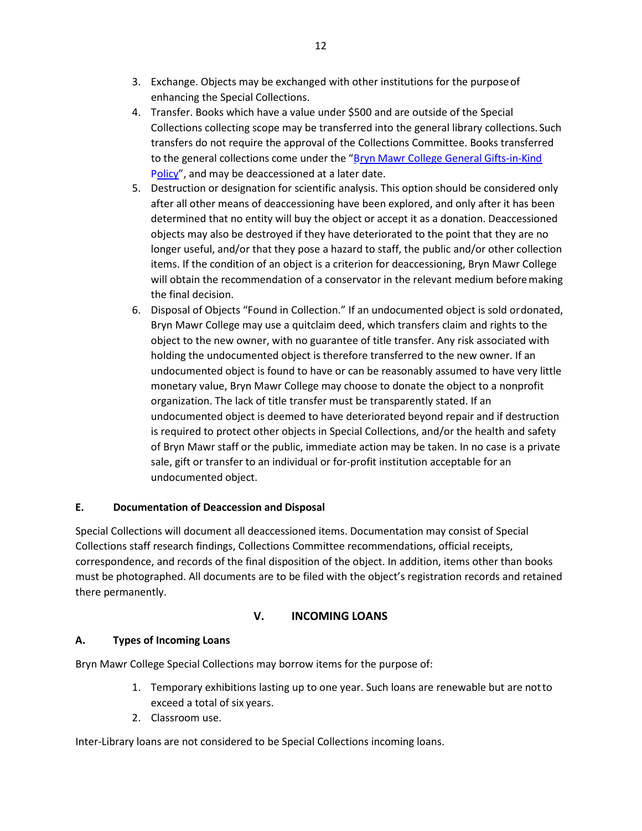- 3. Exchange. Objects may be exchanged with other institutions for the purposeof enhancing the Special Collections.
- 4. Transfer. Books which have a value under \$500 and are outside of the Special Collections collecting scope may be transferred into the general library collections. Such transfers do not require the approval of the Collections Committee. Books transferred to the general collections come under the "Bryn Mawr College General Gifts-in-Kind Policy", and may be deaccessioned at a later date.
- 5. Destruction or designation for scientific analysis. This option should be considered only after all other means of deaccessioning have been explored, and only after it has been determined that no entity will buy the object or accept it as a donation. Deaccessioned objects may also be destroyed if they have deteriorated to the point that they are no longer useful, and/or that they pose a hazard to staff, the public and/or other collection items. If the condition of an object is a criterion for deaccessioning, Bryn Mawr College will obtain the recommendation of a conservator in the relevant medium beforemaking the final decision.
- 6. Disposal of Objects "Found in Collection." If an undocumented object is sold ordonated, Bryn Mawr College may use a quitclaim deed, which transfers claim and rights to the object to the new owner, with no guarantee of title transfer. Any risk associated with holding the undocumented object is therefore transferred to the new owner. If an undocumented object is found to have or can be reasonably assumed to have very little monetary value, Bryn Mawr College may choose to donate the object to a nonprofit organization. The lack of title transfer must be transparently stated. If an undocumented object is deemed to have deteriorated beyond repair and if destruction is required to protect other objects in Special Collections, and/or the health and safety of Bryn Mawr staff or the public, immediate action may be taken. In no case is a private sale, gift or transfer to an individual or for-profit institution acceptable for an undocumented object.

### **E. Documentation of Deaccession and Disposal**

Special Collections will document all deaccessioned items. Documentation may consist of Special Collections staff research findings, Collections Committee recommendations, official receipts, correspondence, and records of the final disposition of the object. In addition, items other than books must be photographed. All documents are to be filed with the object's registration records and retained there permanently.

# **V. INCOMING LOANS**

### **A. Types of Incoming Loans**

Bryn Mawr College Special Collections may borrow items for the purpose of:

- 1. Temporary exhibitions lasting up to one year. Such loans are renewable but are notto exceed a total of six years.
- 2. Classroom use.

Inter-Library loans are not considered to be Special Collections incoming loans.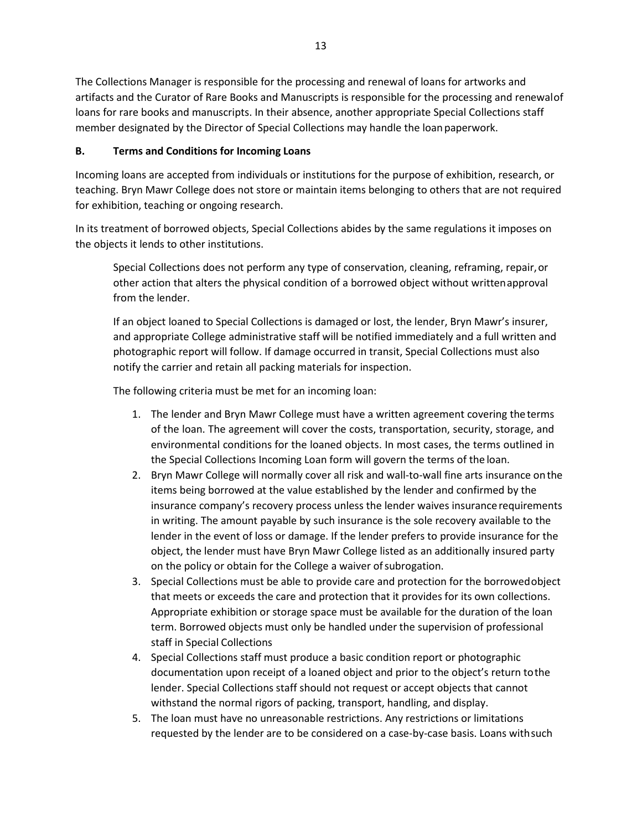The Collections Manager is responsible for the processing and renewal of loans for artworks and artifacts and the Curator of Rare Books and Manuscripts is responsible for the processing and renewalof loans for rare books and manuscripts. In their absence, another appropriate Special Collections staff member designated by the Director of Special Collections may handle the loan paperwork.

# **B. Terms and Conditions for Incoming Loans**

Incoming loans are accepted from individuals or institutions for the purpose of exhibition, research, or teaching. Bryn Mawr College does not store or maintain items belonging to others that are not required for exhibition, teaching or ongoing research.

In its treatment of borrowed objects, Special Collections abides by the same regulations it imposes on the objects it lends to other institutions.

Special Collections does not perform any type of conservation, cleaning, reframing, repair,or other action that alters the physical condition of a borrowed object without writtenapproval from the lender.

If an object loaned to Special Collections is damaged or lost, the lender, Bryn Mawr's insurer, and appropriate College administrative staff will be notified immediately and a full written and photographic report will follow. If damage occurred in transit, Special Collections must also notify the carrier and retain all packing materials for inspection.

The following criteria must be met for an incoming loan:

- 1. The lender and Bryn Mawr College must have a written agreement covering the terms of the loan. The agreement will cover the costs, transportation, security, storage, and environmental conditions for the loaned objects. In most cases, the terms outlined in the Special Collections Incoming Loan form will govern the terms of the loan.
- 2. Bryn Mawr College will normally cover all risk and wall-to-wall fine arts insurance onthe items being borrowed at the value established by the lender and confirmed by the insurance company's recovery process unless the lender waives insurancerequirements in writing. The amount payable by such insurance is the sole recovery available to the lender in the event of loss or damage. If the lender prefers to provide insurance for the object, the lender must have Bryn Mawr College listed as an additionally insured party on the policy or obtain for the College a waiver of subrogation.
- 3. Special Collections must be able to provide care and protection for the borrowedobject that meets or exceeds the care and protection that it provides for its own collections. Appropriate exhibition or storage space must be available for the duration of the loan term. Borrowed objects must only be handled under the supervision of professional staff in Special Collections
- 4. Special Collections staff must produce a basic condition report or photographic documentation upon receipt of a loaned object and prior to the object's return tothe lender. Special Collections staff should not request or accept objects that cannot withstand the normal rigors of packing, transport, handling, and display.
- 5. The loan must have no unreasonable restrictions. Any restrictions or limitations requested by the lender are to be considered on a case-by-case basis. Loans withsuch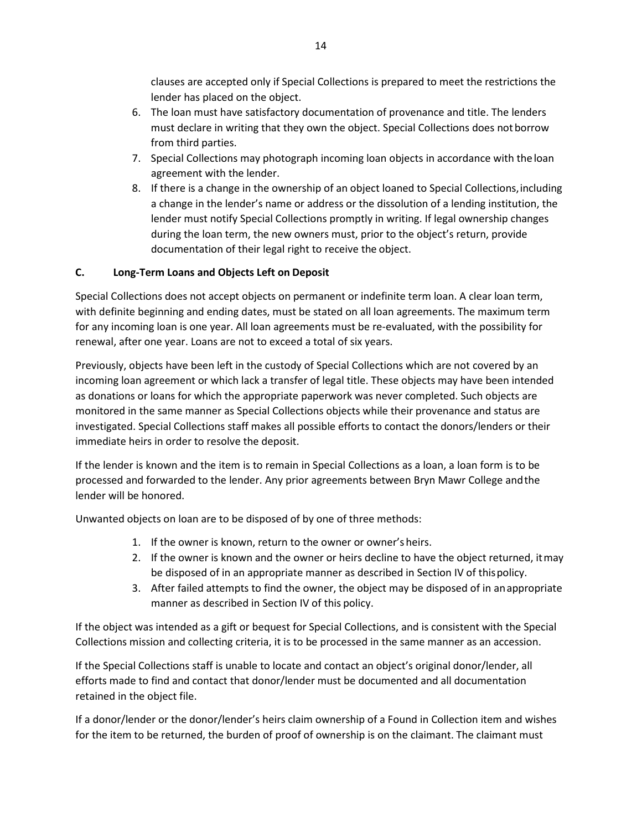clauses are accepted only if Special Collections is prepared to meet the restrictions the lender has placed on the object.

- 6. The loan must have satisfactory documentation of provenance and title. The lenders must declare in writing that they own the object. Special Collections does notborrow from third parties.
- 7. Special Collections may photograph incoming loan objects in accordance with theloan agreement with the lender.
- 8. If there is a change in the ownership of an object loaned to Special Collections,including a change in the lender's name or address or the dissolution of a lending institution, the lender must notify Special Collections promptly in writing. If legal ownership changes during the loan term, the new owners must, prior to the object's return, provide documentation of their legal right to receive the object.

## **C. Long-Term Loans and Objects Left on Deposit**

Special Collections does not accept objects on permanent or indefinite term loan. A clear loan term, with definite beginning and ending dates, must be stated on all loan agreements. The maximum term for any incoming loan is one year. All loan agreements must be re-evaluated, with the possibility for renewal, after one year. Loans are not to exceed a total of six years.

Previously, objects have been left in the custody of Special Collections which are not covered by an incoming loan agreement or which lack a transfer of legal title. These objects may have been intended as donations or loans for which the appropriate paperwork was never completed. Such objects are monitored in the same manner as Special Collections objects while their provenance and status are investigated. Special Collections staff makes all possible efforts to contact the donors/lenders or their immediate heirs in order to resolve the deposit.

If the lender is known and the item is to remain in Special Collections as a loan, a loan form is to be processed and forwarded to the lender. Any prior agreements between Bryn Mawr College andthe lender will be honored.

Unwanted objects on loan are to be disposed of by one of three methods:

- 1. If the owner is known, return to the owner or owner's heirs.
- 2. If the owner is known and the owner or heirs decline to have the object returned, itmay be disposed of in an appropriate manner as described in Section IV of thispolicy.
- 3. After failed attempts to find the owner, the object may be disposed of in anappropriate manner as described in Section IV of this policy.

If the object was intended as a gift or bequest for Special Collections, and is consistent with the Special Collections mission and collecting criteria, it is to be processed in the same manner as an accession.

If the Special Collections staff is unable to locate and contact an object's original donor/lender, all efforts made to find and contact that donor/lender must be documented and all documentation retained in the object file.

If a donor/lender or the donor/lender's heirs claim ownership of a Found in Collection item and wishes for the item to be returned, the burden of proof of ownership is on the claimant. The claimant must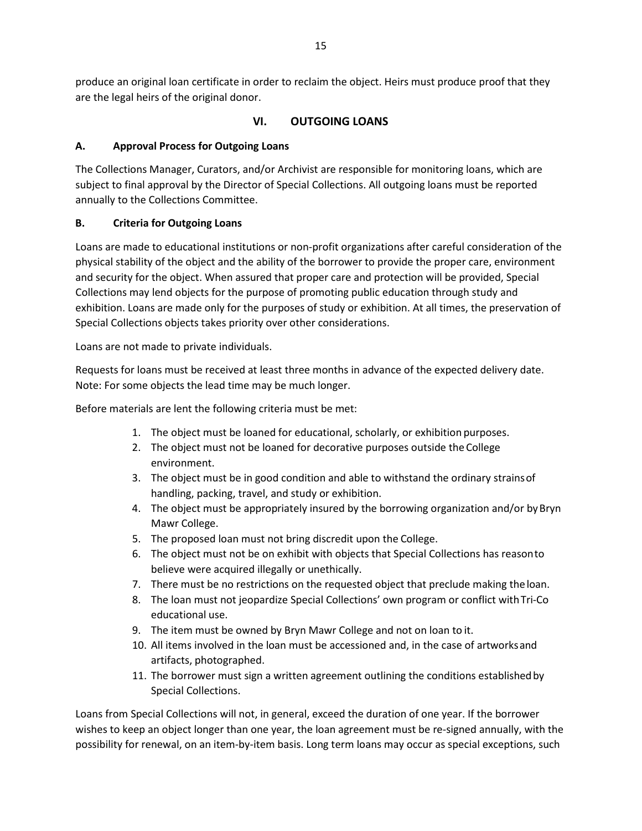produce an original loan certificate in order to reclaim the object. Heirs must produce proof that they are the legal heirs of the original donor.

## **VI. OUTGOING LOANS**

### **A. Approval Process for Outgoing Loans**

The Collections Manager, Curators, and/or Archivist are responsible for monitoring loans, which are subject to final approval by the Director of Special Collections. All outgoing loans must be reported annually to the Collections Committee.

## **B. Criteria for Outgoing Loans**

Loans are made to educational institutions or non-profit organizations after careful consideration of the physical stability of the object and the ability of the borrower to provide the proper care, environment and security for the object. When assured that proper care and protection will be provided, Special Collections may lend objects for the purpose of promoting public education through study and exhibition. Loans are made only for the purposes of study or exhibition. At all times, the preservation of Special Collections objects takes priority over other considerations.

Loans are not made to private individuals.

Requests for loans must be received at least three months in advance of the expected delivery date. Note: For some objects the lead time may be much longer.

Before materials are lent the following criteria must be met:

- 1. The object must be loaned for educational, scholarly, or exhibition purposes.
- 2. The object must not be loaned for decorative purposes outside the College environment.
- 3. The object must be in good condition and able to withstand the ordinary strainsof handling, packing, travel, and study or exhibition.
- 4. The object must be appropriately insured by the borrowing organization and/or byBryn Mawr College.
- 5. The proposed loan must not bring discredit upon the College.
- 6. The object must not be on exhibit with objects that Special Collections has reasonto believe were acquired illegally or unethically.
- 7. There must be no restrictions on the requested object that preclude making the loan.
- 8. The loan must not jeopardize Special Collections' own program or conflict with Tri-Co educational use.
- 9. The item must be owned by Bryn Mawr College and not on loan to it.
- 10. All items involved in the loan must be accessioned and, in the case of artworksand artifacts, photographed.
- 11. The borrower must sign a written agreement outlining the conditions establishedby Special Collections.

Loans from Special Collections will not, in general, exceed the duration of one year. If the borrower wishes to keep an object longer than one year, the loan agreement must be re-signed annually, with the possibility for renewal, on an item-by-item basis. Long term loans may occur as special exceptions, such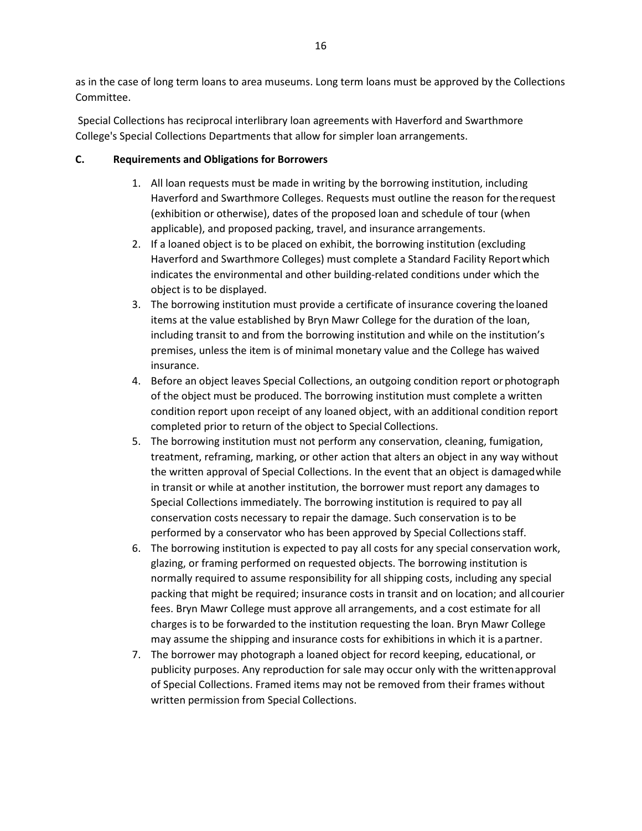as in the case of long term loans to area museums. Long term loans must be approved by the Collections Committee.

Special Collections has reciprocal interlibrary loan agreements with Haverford and Swarthmore College's Special Collections Departments that allow for simpler loan arrangements.

#### **C. Requirements and Obligations for Borrowers**

- 1. All loan requests must be made in writing by the borrowing institution, including Haverford and Swarthmore Colleges. Requests must outline the reason for therequest (exhibition or otherwise), dates of the proposed loan and schedule of tour (when applicable), and proposed packing, travel, and insurance arrangements.
- 2. If a loaned object is to be placed on exhibit, the borrowing institution (excluding Haverford and Swarthmore Colleges) must complete a Standard Facility Reportwhich indicates the environmental and other building-related conditions under which the object is to be displayed.
- 3. The borrowing institution must provide a certificate of insurance covering theloaned items at the value established by Bryn Mawr College for the duration of the loan, including transit to and from the borrowing institution and while on the institution's premises, unless the item is of minimal monetary value and the College has waived insurance.
- 4. Before an object leaves Special Collections, an outgoing condition report orphotograph of the object must be produced. The borrowing institution must complete a written condition report upon receipt of any loaned object, with an additional condition report completed prior to return of the object to Special Collections.
- 5. The borrowing institution must not perform any conservation, cleaning, fumigation, treatment, reframing, marking, or other action that alters an object in any way without the written approval of Special Collections. In the event that an object is damagedwhile in transit or while at another institution, the borrower must report any damages to Special Collections immediately. The borrowing institution is required to pay all conservation costs necessary to repair the damage. Such conservation is to be performed by a conservator who has been approved by Special Collections staff.
- 6. The borrowing institution is expected to pay all costs for any special conservation work, glazing, or framing performed on requested objects. The borrowing institution is normally required to assume responsibility for all shipping costs, including any special packing that might be required; insurance costs in transit and on location; and allcourier fees. Bryn Mawr College must approve all arrangements, and a cost estimate for all charges is to be forwarded to the institution requesting the loan. Bryn Mawr College may assume the shipping and insurance costs for exhibitions in which it is apartner.
- 7. The borrower may photograph a loaned object for record keeping, educational, or publicity purposes. Any reproduction for sale may occur only with the writtenapproval of Special Collections. Framed items may not be removed from their frames without written permission from Special Collections.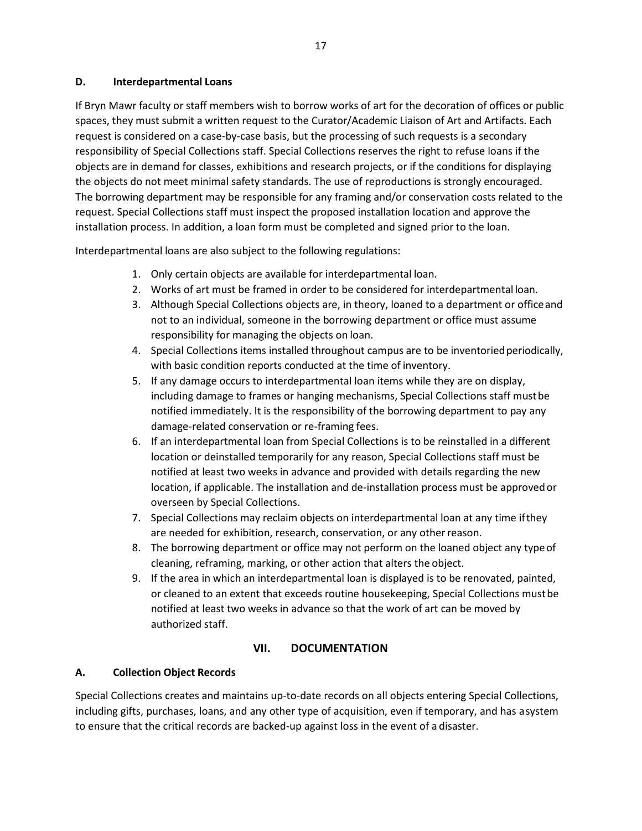#### **D. Interdepartmental Loans**

If Bryn Mawr faculty or staff members wish to borrow works of art for the decoration of offices or public spaces, they must submit a written request to the Curator/Academic Liaison of Art and Artifacts. Each request is considered on a case-by-case basis, but the processing of such requests is a secondary responsibility of Special Collections staff. Special Collections reserves the right to refuse loans if the objects are in demand for classes, exhibitions and research projects, or if the conditions for displaying the objects do not meet minimal safety standards. The use of reproductions is strongly encouraged. The borrowing department may be responsible for any framing and/or conservation costs related to the request. Special Collections staff must inspect the proposed installation location and approve the installation process. In addition, a loan form must be completed and signed prior to the loan.

Interdepartmental loans are also subject to the following regulations:

- 1. Only certain objects are available for interdepartmental loan.
- 2. Works of art must be framed in order to be considered for interdepartmental loan.
- 3. Although Special Collections objects are, in theory, loaned to a department or officeand not to an individual, someone in the borrowing department or office must assume responsibility for managing the objects on loan.
- 4. Special Collections items installed throughout campus are to be inventoriedperiodically, with basic condition reports conducted at the time of inventory.
- 5. If any damage occurs to interdepartmental loan items while they are on display, including damage to frames or hanging mechanisms, Special Collections staff mustbe notified immediately. It is the responsibility of the borrowing department to pay any damage-related conservation or re-framing fees.
- 6. If an interdepartmental loan from Special Collections is to be reinstalled in a different location or deinstalled temporarily for any reason, Special Collections staff must be notified at least two weeks in advance and provided with details regarding the new location, if applicable. The installation and de-installation process must be approvedor overseen by Special Collections.
- 7. Special Collections may reclaim objects on interdepartmental loan at any time ifthey are needed for exhibition, research, conservation, or any other reason.
- 8. The borrowing department or office may not perform on the loaned object any typeof cleaning, reframing, marking, or other action that alters the object.
- 9. If the area in which an interdepartmental loan is displayed is to be renovated, painted, or cleaned to an extent that exceeds routine housekeeping, Special Collections mustbe notified at least two weeks in advance so that the work of art can be moved by authorized staff.

### **VII. DOCUMENTATION**

#### **A. Collection Object Records**

Special Collections creates and maintains up-to-date records on all objects entering Special Collections, including gifts, purchases, loans, and any other type of acquisition, even if temporary, and has asystem to ensure that the critical records are backed-up against loss in the event of a disaster.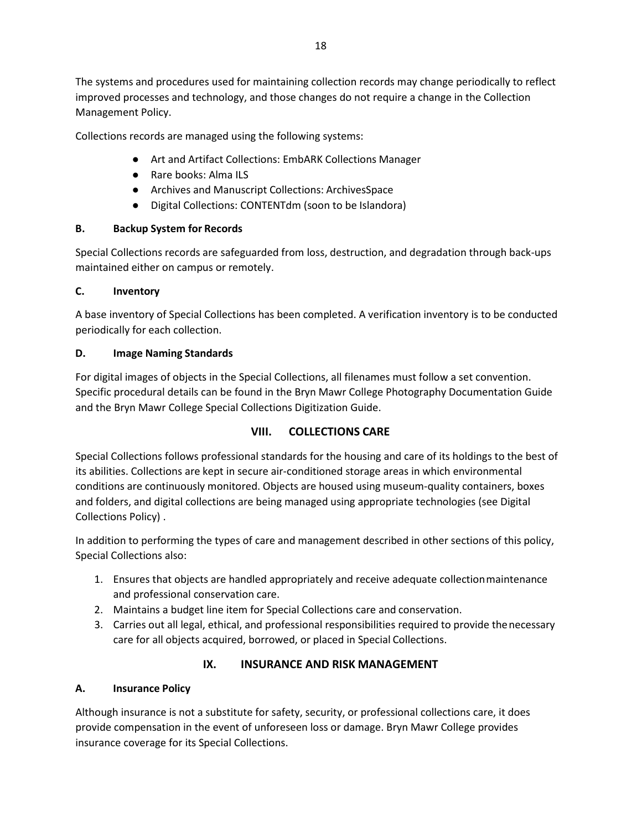The systems and procedures used for maintaining collection records may change periodically to reflect improved processes and technology, and those changes do not require a change in the Collection Management Policy.

Collections records are managed using the following systems:

- Art and Artifact Collections: EmbARK Collections Manager
- Rare books: Alma ILS
- Archives and Manuscript Collections: ArchivesSpace
- Digital Collections: CONTENTdm (soon to be Islandora)

#### **B. Backup System for Records**

Special Collections records are safeguarded from loss, destruction, and degradation through back-ups maintained either on campus or remotely.

#### **C. Inventory**

A base inventory of Special Collections has been completed. A verification inventory is to be conducted periodically for each collection.

#### **D. Image Naming Standards**

For digital images of objects in the Special Collections, all filenames must follow a set convention. Specific procedural details can be found in the Bryn Mawr College Photography Documentation Guide and the Bryn Mawr College Special Collections Digitization Guide.

### **VIII. COLLECTIONS CARE**

Special Collections follows professional standards for the housing and care of its holdings to the best of its abilities. Collections are kept in secure air-conditioned storage areas in which environmental conditions are continuously monitored. Objects are housed using museum-quality containers, boxes and folders, and digital collections are being managed using appropriate technologies (see Digital Collections Policy) .

In addition to performing the types of care and management described in other sections of this policy, Special Collections also:

- 1. Ensures that objects are handled appropriately and receive adequate collectionmaintenance and professional conservation care.
- 2. Maintains a budget line item for Special Collections care and conservation.
- 3. Carries out all legal, ethical, and professional responsibilities required to provide thenecessary care for all objects acquired, borrowed, or placed in Special Collections.

### **IX. INSURANCE AND RISK MANAGEMENT**

### **A. Insurance Policy**

Although insurance is not a substitute for safety, security, or professional collections care, it does provide compensation in the event of unforeseen loss or damage. Bryn Mawr College provides insurance coverage for its Special Collections.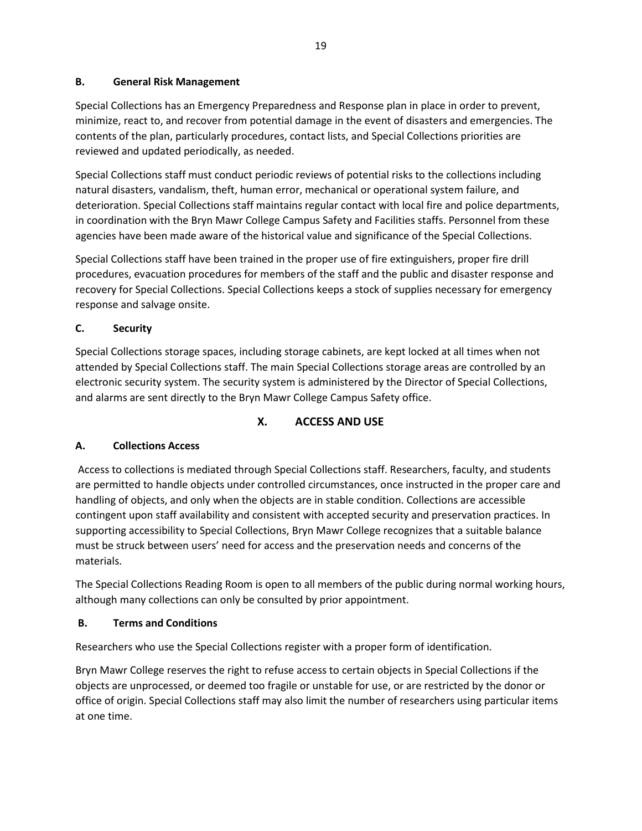### **B. General Risk Management**

Special Collections has an Emergency Preparedness and Response plan in place in order to prevent, minimize, react to, and recover from potential damage in the event of disasters and emergencies. The contents of the plan, particularly procedures, contact lists, and Special Collections priorities are reviewed and updated periodically, as needed.

Special Collections staff must conduct periodic reviews of potential risks to the collections including natural disasters, vandalism, theft, human error, mechanical or operational system failure, and deterioration. Special Collections staff maintains regular contact with local fire and police departments, in coordination with the Bryn Mawr College Campus Safety and Facilities staffs. Personnel from these agencies have been made aware of the historical value and significance of the Special Collections.

Special Collections staff have been trained in the proper use of fire extinguishers, proper fire drill procedures, evacuation procedures for members of the staff and the public and disaster response and recovery for Special Collections. Special Collections keeps a stock of supplies necessary for emergency response and salvage onsite.

## **C. Security**

Special Collections storage spaces, including storage cabinets, are kept locked at all times when not attended by Special Collections staff. The main Special Collections storage areas are controlled by an electronic security system. The security system is administered by the Director of Special Collections, and alarms are sent directly to the Bryn Mawr College Campus Safety office.

# **X. ACCESS AND USE**

### **A. Collections Access**

Access to collections is mediated through Special Collections staff. Researchers, faculty, and students are permitted to handle objects under controlled circumstances, once instructed in the proper care and handling of objects, and only when the objects are in stable condition. Collections are accessible contingent upon staff availability and consistent with accepted security and preservation practices. In supporting accessibility to Special Collections, Bryn Mawr College recognizes that a suitable balance must be struck between users' need for access and the preservation needs and concerns of the materials.

The Special Collections Reading Room is open to all members of the public during normal working hours, although many collections can only be consulted by prior appointment.

### **B. Terms and Conditions**

Researchers who use the Special Collections register with a proper form of identification.

Bryn Mawr College reserves the right to refuse access to certain objects in Special Collections if the objects are unprocessed, or deemed too fragile or unstable for use, or are restricted by the donor or office of origin. Special Collections staff may also limit the number of researchers using particular items at one time.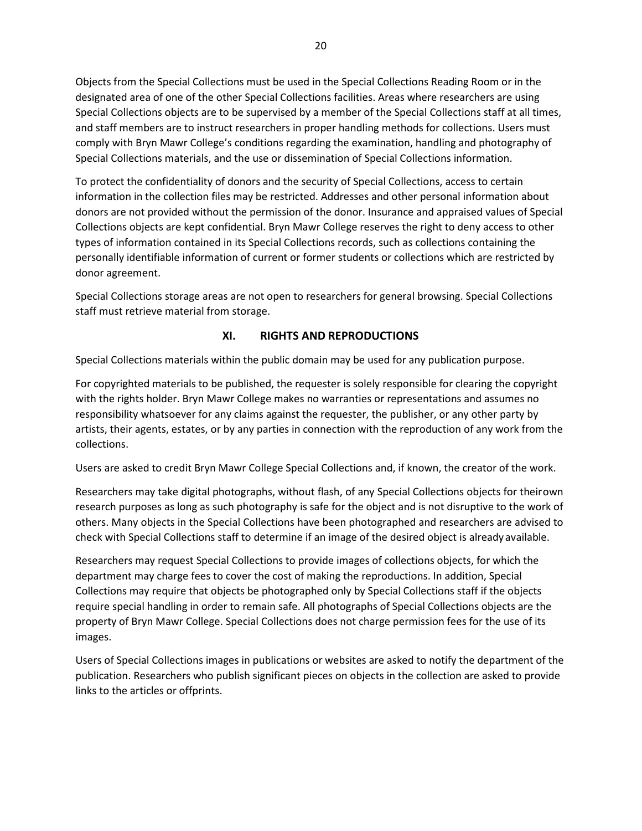Objects from the Special Collections must be used in the Special Collections Reading Room or in the designated area of one of the other Special Collections facilities. Areas where researchers are using Special Collections objects are to be supervised by a member of the Special Collections staff at all times, and staff members are to instruct researchers in proper handling methods for collections. Users must comply with Bryn Mawr College's conditions regarding the examination, handling and photography of Special Collections materials, and the use or dissemination of Special Collections information.

To protect the confidentiality of donors and the security of Special Collections, access to certain information in the collection files may be restricted. Addresses and other personal information about donors are not provided without the permission of the donor. Insurance and appraised values of Special Collections objects are kept confidential. Bryn Mawr College reserves the right to deny access to other types of information contained in its Special Collections records, such as collections containing the personally identifiable information of current or former students or collections which are restricted by donor agreement.

Special Collections storage areas are not open to researchers for general browsing. Special Collections staff must retrieve material from storage.

### **XI. RIGHTS AND REPRODUCTIONS**

Special Collections materials within the public domain may be used for any publication purpose.

For copyrighted materials to be published, the requester is solely responsible for clearing the copyright with the rights holder. Bryn Mawr College makes no warranties or representations and assumes no responsibility whatsoever for any claims against the requester, the publisher, or any other party by artists, their agents, estates, or by any parties in connection with the reproduction of any work from the collections.

Users are asked to credit Bryn Mawr College Special Collections and, if known, the creator of the work.

Researchers may take digital photographs, without flash, of any Special Collections objects for theirown research purposes as long as such photography is safe for the object and is not disruptive to the work of others. Many objects in the Special Collections have been photographed and researchers are advised to check with Special Collections staff to determine if an image of the desired object is already available.

Researchers may request Special Collections to provide images of collections objects, for which the department may charge fees to cover the cost of making the reproductions. In addition, Special Collections may require that objects be photographed only by Special Collections staff if the objects require special handling in order to remain safe. All photographs of Special Collections objects are the property of Bryn Mawr College. Special Collections does not charge permission fees for the use of its images.

Users of Special Collections images in publications or websites are asked to notify the department of the publication. Researchers who publish significant pieces on objects in the collection are asked to provide links to the articles or offprints.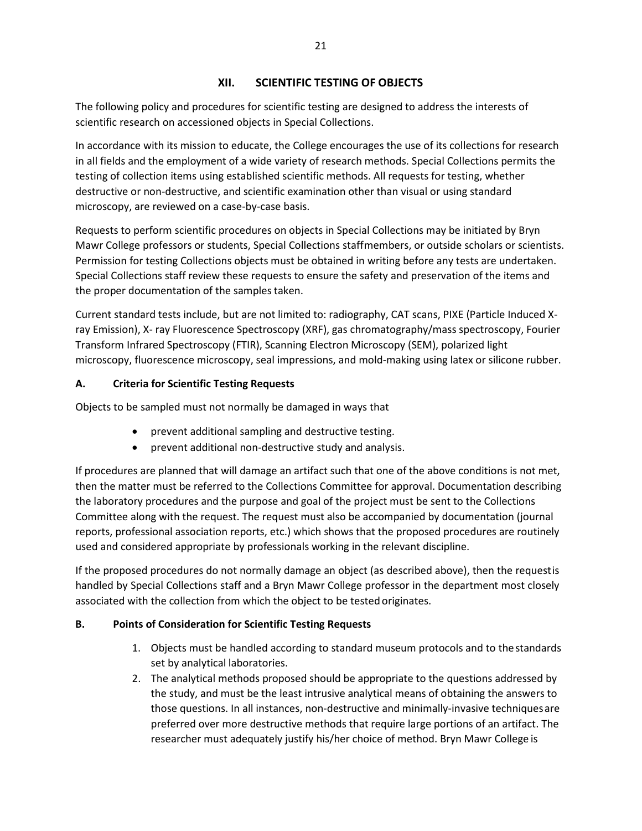### **XII. SCIENTIFIC TESTING OF OBJECTS**

The following policy and procedures for scientific testing are designed to address the interests of scientific research on accessioned objects in Special Collections.

In accordance with its mission to educate, the College encourages the use of its collections for research in all fields and the employment of a wide variety of research methods. Special Collections permits the testing of collection items using established scientific methods. All requests for testing, whether destructive or non-destructive, and scientific examination other than visual or using standard microscopy, are reviewed on a case-by-case basis.

Requests to perform scientific procedures on objects in Special Collections may be initiated by Bryn Mawr College professors or students, Special Collections staffmembers, or outside scholars or scientists. Permission for testing Collections objects must be obtained in writing before any tests are undertaken. Special Collections staff review these requests to ensure the safety and preservation of the items and the proper documentation of the samples taken.

Current standard tests include, but are not limited to: radiography, CAT scans, PIXE (Particle Induced Xray Emission), X- ray Fluorescence Spectroscopy (XRF), gas chromatography/mass spectroscopy, Fourier Transform Infrared Spectroscopy (FTIR), Scanning Electron Microscopy (SEM), polarized light microscopy, fluorescence microscopy, seal impressions, and mold-making using latex or silicone rubber.

## **A. Criteria for Scientific Testing Requests**

Objects to be sampled must not normally be damaged in ways that

- prevent additional sampling and destructive testing.
- prevent additional non-destructive study and analysis.

If procedures are planned that will damage an artifact such that one of the above conditions is not met, then the matter must be referred to the Collections Committee for approval. Documentation describing the laboratory procedures and the purpose and goal of the project must be sent to the Collections Committee along with the request. The request must also be accompanied by documentation (journal reports, professional association reports, etc.) which shows that the proposed procedures are routinely used and considered appropriate by professionals working in the relevant discipline.

If the proposed procedures do not normally damage an object (as described above), then the requestis handled by Special Collections staff and a Bryn Mawr College professor in the department most closely associated with the collection from which the object to be tested originates.

### **B. Points of Consideration for Scientific Testing Requests**

- 1. Objects must be handled according to standard museum protocols and to thestandards set by analytical laboratories.
- 2. The analytical methods proposed should be appropriate to the questions addressed by the study, and must be the least intrusive analytical means of obtaining the answers to those questions. In all instances, non-destructive and minimally-invasive techniquesare preferred over more destructive methods that require large portions of an artifact. The researcher must adequately justify his/her choice of method. Bryn Mawr College is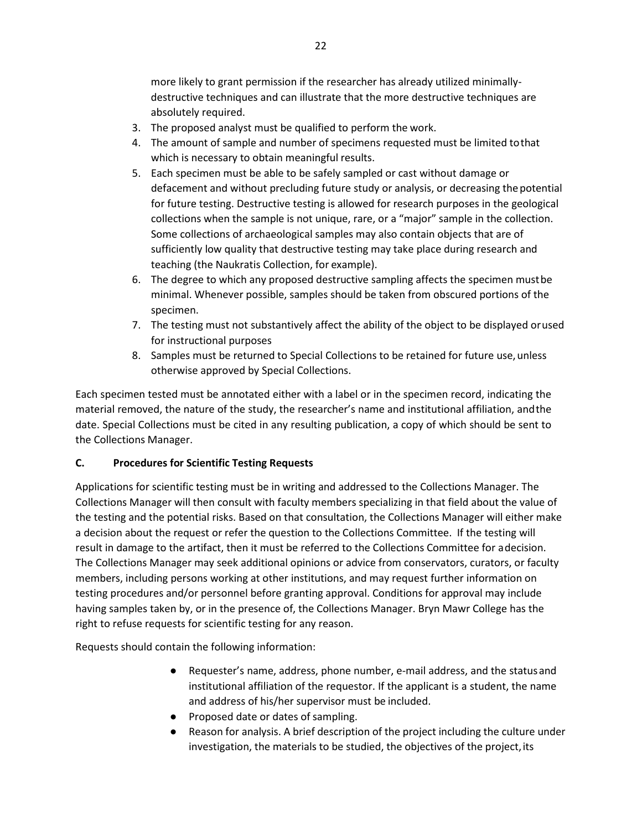more likely to grant permission if the researcher has already utilized minimallydestructive techniques and can illustrate that the more destructive techniques are absolutely required.

- 3. The proposed analyst must be qualified to perform the work.
- 4. The amount of sample and number of specimens requested must be limited tothat which is necessary to obtain meaningful results.
- 5. Each specimen must be able to be safely sampled or cast without damage or defacement and without precluding future study or analysis, or decreasing thepotential for future testing. Destructive testing is allowed for research purposes in the geological collections when the sample is not unique, rare, or a "major" sample in the collection. Some collections of archaeological samples may also contain objects that are of sufficiently low quality that destructive testing may take place during research and teaching (the Naukratis Collection, for example).
- 6. The degree to which any proposed destructive sampling affects the specimen mustbe minimal. Whenever possible, samples should be taken from obscured portions of the specimen.
- 7. The testing must not substantively affect the ability of the object to be displayed orused for instructional purposes
- 8. Samples must be returned to Special Collections to be retained for future use, unless otherwise approved by Special Collections.

Each specimen tested must be annotated either with a label or in the specimen record, indicating the material removed, the nature of the study, the researcher's name and institutional affiliation, andthe date. Special Collections must be cited in any resulting publication, a copy of which should be sent to the Collections Manager.

### **C. Procedures for Scientific Testing Requests**

Applications for scientific testing must be in writing and addressed to the Collections Manager. The Collections Manager will then consult with faculty members specializing in that field about the value of the testing and the potential risks. Based on that consultation, the Collections Manager will either make a decision about the request or refer the question to the Collections Committee. If the testing will result in damage to the artifact, then it must be referred to the Collections Committee for adecision. The Collections Manager may seek additional opinions or advice from conservators, curators, or faculty members, including persons working at other institutions, and may request further information on testing procedures and/or personnel before granting approval. Conditions for approval may include having samples taken by, or in the presence of, the Collections Manager. Bryn Mawr College has the right to refuse requests for scientific testing for any reason.

Requests should contain the following information:

- Requester's name, address, phone number, e-mail address, and the status and institutional affiliation of the requestor. If the applicant is a student, the name and address of his/her supervisor must be included.
- Proposed date or dates of sampling.
- Reason for analysis. A brief description of the project including the culture under investigation, the materials to be studied, the objectives of the project, its